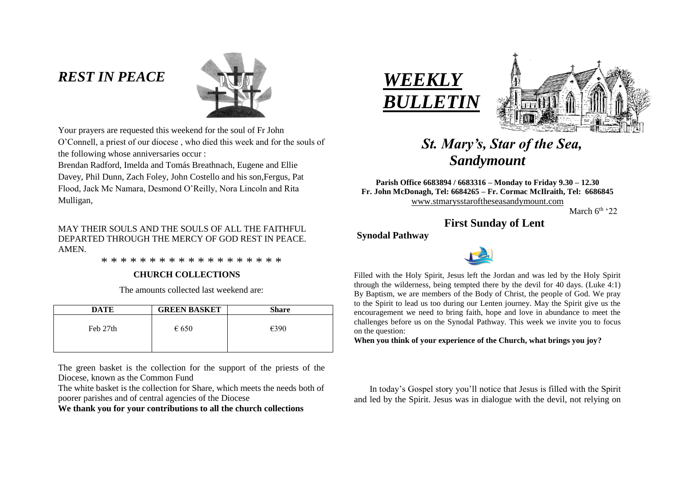# *REST IN PEACE*



Your prayers are requested this weekend for the soul of Fr John O'Connell, a priest of our diocese , who died this week and for the souls of the following whose anniversaries occur :

Brendan Radford, Imelda and Tomás Breathnach, Eugene and Ellie Davey, Phil Dunn, Zach Foley, John Costello and his son,Fergus, Pat Flood, Jack Mc Namara, Desmond O'Reilly, Nora Lincoln and Rita Mulligan,

## MAY THEIR SOULS AND THE SOULS OF ALL THE FAITHFUL DEPARTED THROUGH THE MERCY OF GOD REST IN PEACE. **AMEN**

\* \* \* \* \* \* \* \* \* \* \* \* \* \* \* \* \* \* \*

## **CHURCH COLLECTIONS**

The amounts collected last weekend are:

| <b>DATE</b> | <b>GREEN BASKET</b> | <b>Share</b> |
|-------------|---------------------|--------------|
| Feb 27th    | $\epsilon$ 650      | €390         |

The green basket is the collection for the support of the priests of the Diocese, known as the Common Fund

The white basket is the collection for Share, which meets the needs both of poorer parishes and of central agencies of the Diocese

**We thank you for your contributions to all the church collections**





# *St. Mary's, Star of the Sea, Sandymount*

**Parish Office 6683894 / 6683316 – Monday to Friday 9.30 – 12.30 Fr. John McDonagh, Tel: 6684265 – Fr. Cormac McIlraith, Tel: 6686845** [www.stmarysstaroftheseasandymount.com](http://www.stmarysstaroftheseasandymount.com/)

March  $6<sup>th</sup>$  '22

## **First Sunday of Lent**

## **Synodal Pathway**



 Filled with the Holy Spirit, Jesus left the Jordan and was led by the Holy Spirit through the wilderness, being tempted there by the devil for 40 days. (Luke 4:1) By Baptism, we are members of the Body of Christ, the people of God. We pray to the Spirit to lead us too during our Lenten journey. May the Spirit give us the encouragement we need to bring faith, hope and love in abundance to meet the challenges before us on the Synodal Pathway. This week we invite you to focus on the question:

**When you think of your experience of the Church, what brings you joy?**

 In today's Gospel story you'll notice that Jesus is filled with the Spirit and led by the Spirit. Jesus was in dialogue with the devil, not relying on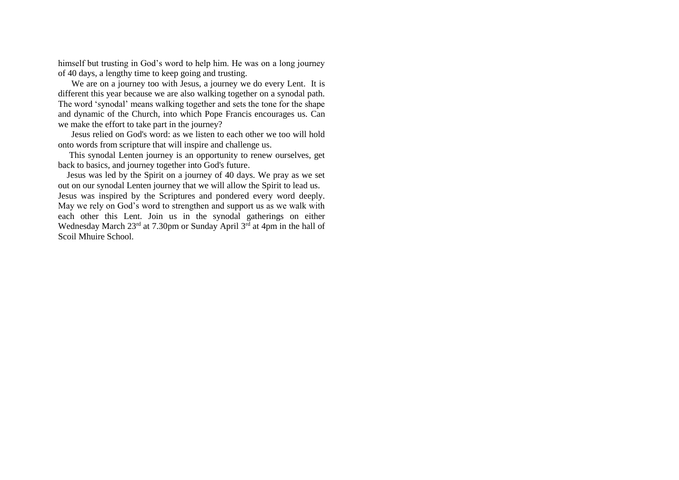himself but trusting in God's word to help him. He was on a long journey of 40 days, a lengthy time to keep going and trusting.

We are on a journey too with Jesus, a journey we do every Lent. It is different this year because we are also walking together on a synodal path. The word 'synodal' means walking together and sets the tone for the shape and dynamic of the Church, into which Pope Francis encourages us. Can we make the effort to take part in the journey?

 Jesus relied on God's word: as we listen to each other we too will hold onto words from scripture that will inspire and challenge us.

 This synodal Lenten journey is an opportunity to renew ourselves, get back to basics, and journey together into God's future.

 Jesus was led by the Spirit on a journey of 40 days. We pray as we set out on our synodal Lenten journey that we will allow the Spirit to lead us. Jesus was inspired by the Scriptures and pondered every word deeply. May we rely on God's word to strengthen and support us as we walk with each other this Lent. Join us in the synodal gatherings on either Wednesday March 23<sup>rd</sup> at 7.30pm or Sunday April 3<sup>rd</sup> at 4pm in the hall of Scoil Mhuire School.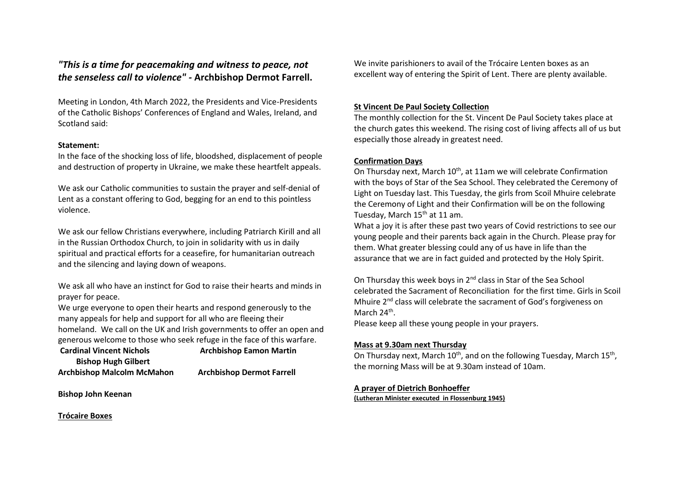## *"This is a time for peacemaking and witness to peace, not the senseless call to violence" -* **Archbishop Dermot Farrell.**

Meeting in London, 4th March 2022, the Presidents and Vice-Presidents of the Catholic Bishops' Conferences of England and Wales, Ireland, and Scotland said:

## **Statement:**

In the face of the shocking loss of life, bloodshed, displacement of people and destruction of property in Ukraine, we make these heartfelt appeals.

We ask our Catholic communities to sustain the prayer and self-denial of Lent as a constant offering to God, begging for an end to this pointless violence.

We ask our fellow Christians everywhere, including Patriarch Kirill and all in the Russian Orthodox Church, to join in solidarity with us in daily spiritual and practical efforts for a ceasefire, for humanitarian outreach and the silencing and laying down of weapons.

We ask all who have an instinct for God to raise their hearts and minds in prayer for peace.

We urge everyone to open their hearts and respond generously to the many appeals for help and support for all who are fleeing their homeland. We call on the UK and Irish governments to offer an open and generous welcome to those who seek refuge in the face of this warfare.

**Cardinal Vincent Nichols Archbishop Eamon Martin Bishop Hugh Gilbert Archbishop Malcolm McMahon Archbishop Dermot Farrell**

**Bishop John Keenan**

**Trócaire Boxes**

We invite parishioners to avail of the Trócaire Lenten boxes as an excellent way of entering the Spirit of Lent. There are plenty available.

## **St Vincent De Paul Society Collection**

The monthly collection for the St. Vincent De Paul Society takes place at the church gates this weekend. The rising cost of living affects all of us but especially those already in greatest need.

## **Confirmation Days**

On Thursday next, March 10<sup>th</sup>, at 11am we will celebrate Confirmation with the boys of Star of the Sea School. They celebrated the Ceremony of Light on Tuesday last. This Tuesday, the girls from Scoil Mhuire celebrate the Ceremony of Light and their Confirmation will be on the following Tuesday, March 15<sup>th</sup> at 11 am.

What a joy it is after these past two years of Covid restrictions to see our young people and their parents back again in the Church. Please pray for them. What greater blessing could any of us have in life than the assurance that we are in fact guided and protected by the Holy Spirit.

On Thursday this week boys in  $2^{nd}$  class in Star of the Sea School celebrated the Sacrament of Reconciliation for the first time. Girls in Scoil Mhuire 2<sup>nd</sup> class will celebrate the sacrament of God's forgiveness on March 24<sup>th</sup>.

Please keep all these young people in your prayers.

## **Mass at 9.30am next Thursday**

On Thursday next, March  $10^{th}$ , and on the following Tuesday, March  $15^{th}$ , the morning Mass will be at 9.30am instead of 10am.

## **A prayer of Dietrich Bonhoeffer**

**(Lutheran Minister executed in Flossenburg 1945)**